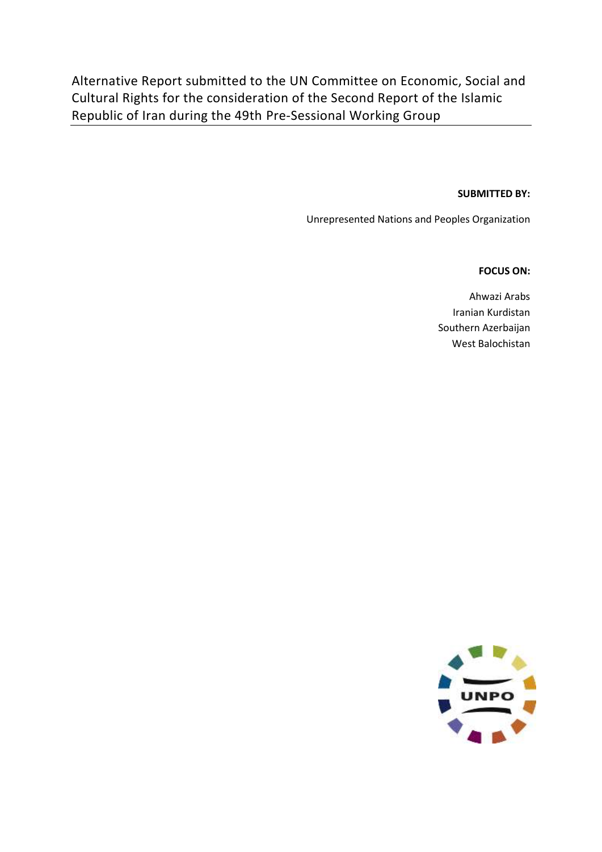Alternative Report submitted to the UN Committee on Economic, Social and Cultural Rights for the consideration of the Second Report of the Islamic Republic of Iran during the 49th Pre-Sessional Working Group

#### **SUBMITTED BY:**

Unrepresented Nations and Peoples Organization

#### **FOCUS ON:**

Ahwazi Arabs Iranian Kurdistan Southern Azerbaijan West Balochistan

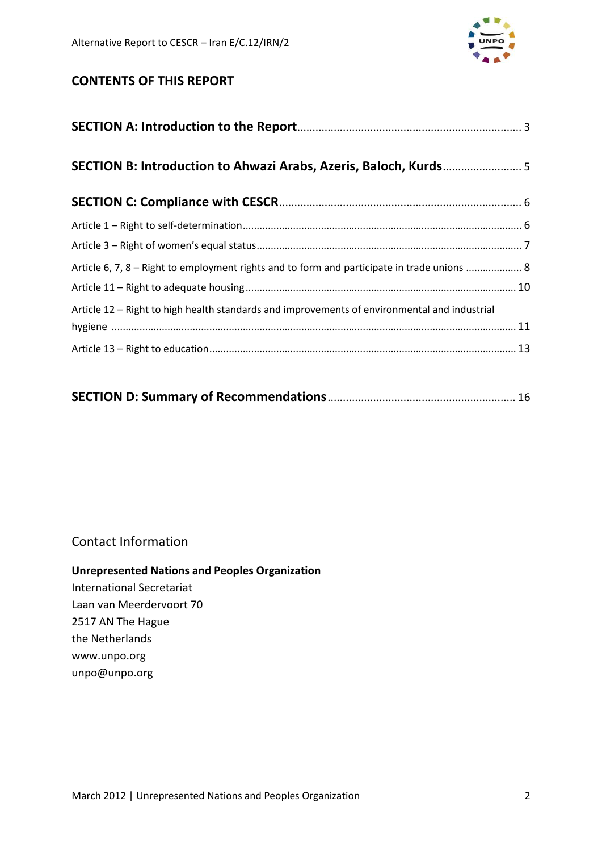

# **CONTENTS OF THIS REPORT**

| Article 6, 7, 8 - Right to employment rights and to form and participate in trade unions  8  |  |  |  |  |
|----------------------------------------------------------------------------------------------|--|--|--|--|
|                                                                                              |  |  |  |  |
| Article 12 – Right to high health standards and improvements of environmental and industrial |  |  |  |  |
|                                                                                              |  |  |  |  |
|                                                                                              |  |  |  |  |

|--|--|--|

# Contact Information

## **Unrepresented Nations and Peoples Organization**

International Secretariat Laan van Meerdervoort 70 2517 AN The Hague the Netherlands www.unpo.org unpo@unpo.org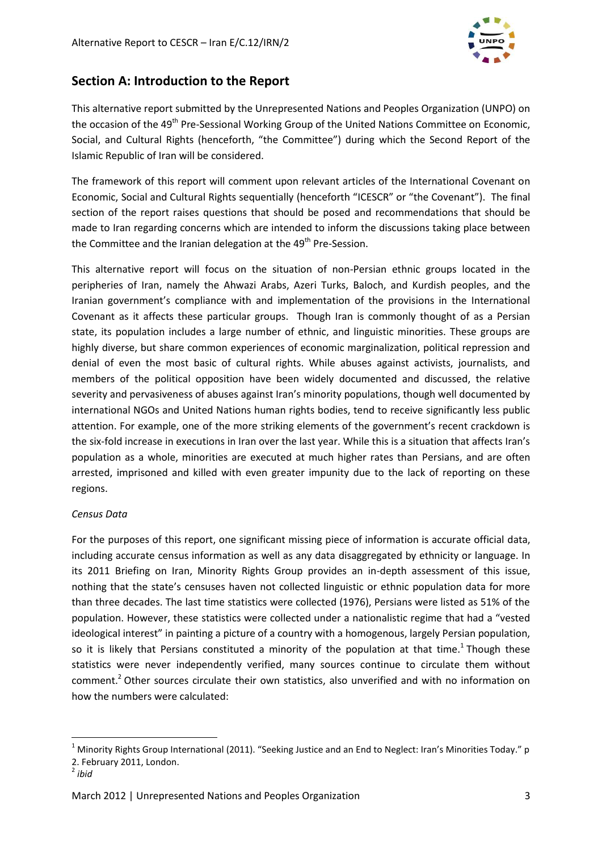

# **Section A: Introduction to the Report**

This alternative report submitted by the Unrepresented Nations and Peoples Organization (UNPO) on the occasion of the 49<sup>th</sup> Pre-Sessional Working Group of the United Nations Committee on Economic, Social, and Cultural Rights (henceforth, "the Committee") during which the Second Report of the Islamic Republic of Iran will be considered.

The framework of this report will comment upon relevant articles of the International Covenant on Economic, Social and Cultural Rights sequentially (henceforth "ICESCR" or "the Covenant"). The final section of the report raises questions that should be posed and recommendations that should be made to Iran regarding concerns which are intended to inform the discussions taking place between the Committee and the Iranian delegation at the  $49<sup>th</sup>$  Pre-Session.

This alternative report will focus on the situation of non-Persian ethnic groups located in the peripheries of Iran, namely the Ahwazi Arabs, Azeri Turks, Baloch, and Kurdish peoples, and the Iranian government's compliance with and implementation of the provisions in the International Covenant as it affects these particular groups. Though Iran is commonly thought of as a Persian state, its population includes a large number of ethnic, and linguistic minorities. These groups are highly diverse, but share common experiences of economic marginalization, political repression and denial of even the most basic of cultural rights. While abuses against activists, journalists, and members of the political opposition have been widely documented and discussed, the relative severity and pervasiveness of abuses against Iran's minority populations, though well documented by international NGOs and United Nations human rights bodies, tend to receive significantly less public attention. For example, one of the more striking elements of the government's recent crackdown is the six-fold increase in executions in Iran over the last year. While this is a situation that affects Iran's population as a whole, minorities are executed at much higher rates than Persians, and are often arrested, imprisoned and killed with even greater impunity due to the lack of reporting on these regions.

#### *Census Data*

For the purposes of this report, one significant missing piece of information is accurate official data, including accurate census information as well as any data disaggregated by ethnicity or language. In its 2011 Briefing on Iran, Minority Rights Group provides an in-depth assessment of this issue, nothing that the state's censuses haven not collected linguistic or ethnic population data for more than three decades. The last time statistics were collected (1976), Persians were listed as 51% of the population. However, these statistics were collected under a nationalistic regime that had a "vested ideological interest" in painting a picture of a country with a homogenous, largely Persian population, so it is likely that Persians constituted a minority of the population at that time.<sup>1</sup> Though these statistics were never independently verified, many sources continue to circulate them without comment.<sup>2</sup> Other sources circulate their own statistics, also unverified and with no information on how the numbers were calculated:

 $1$  Minority Rights Group International (2011). "Seeking Justice and an End to Neglect: Iran's Minorities Today." p 2. February 2011, London. 2 *ibid*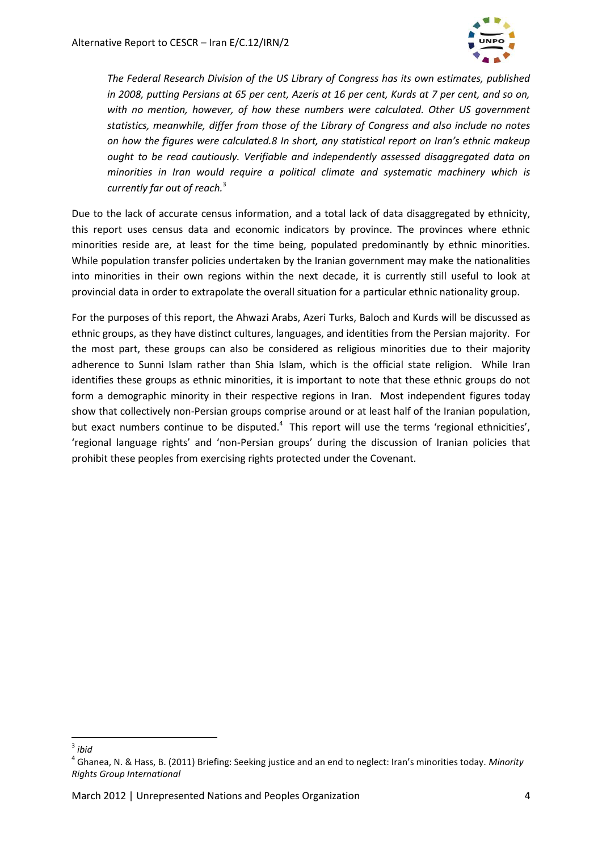

*The Federal Research Division of the US Library of Congress has its own estimates, published in 2008, putting Persians at 65 per cent, Azeris at 16 per cent, Kurds at 7 per cent, and so on, with no mention, however, of how these numbers were calculated. Other US government statistics, meanwhile, differ from those of the Library of Congress and also include no notes on how the figures were calculated.8 In short, any statistical report on Iran's ethnic makeup ought to be read cautiously. Verifiable and independently assessed disaggregated data on minorities in Iran would require a political climate and systematic machinery which is currently far out of reach.*<sup>3</sup>

Due to the lack of accurate census information, and a total lack of data disaggregated by ethnicity, this report uses census data and economic indicators by province. The provinces where ethnic minorities reside are, at least for the time being, populated predominantly by ethnic minorities. While population transfer policies undertaken by the Iranian government may make the nationalities into minorities in their own regions within the next decade, it is currently still useful to look at provincial data in order to extrapolate the overall situation for a particular ethnic nationality group.

For the purposes of this report, the Ahwazi Arabs, Azeri Turks, Baloch and Kurds will be discussed as ethnic groups, as they have distinct cultures, languages, and identities from the Persian majority. For the most part, these groups can also be considered as religious minorities due to their majority adherence to Sunni Islam rather than Shia Islam, which is the official state religion. While Iran identifies these groups as ethnic minorities, it is important to note that these ethnic groups do not form a demographic minority in their respective regions in Iran. Most independent figures today show that collectively non-Persian groups comprise around or at least half of the Iranian population, but exact numbers continue to be disputed.<sup>4</sup> This report will use the terms 'regional ethnicities', 'regional language rights' and 'non-Persian groups' during the discussion of Iranian policies that prohibit these peoples from exercising rights protected under the Covenant.

<sup>3</sup> *ibid*

<sup>4</sup> Ghanea, N. & Hass, B. (2011) Briefing: Seeking justice and an end to neglect: Iran's minorities today. *Minority Rights Group International*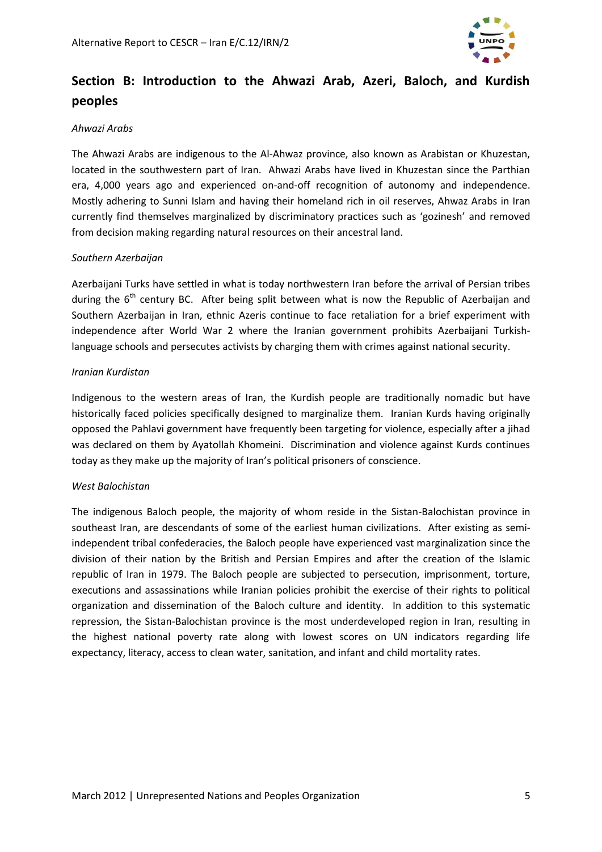

# **Section B: Introduction to the Ahwazi Arab, Azeri, Baloch, and Kurdish peoples**

#### *Ahwazi Arabs*

The Ahwazi Arabs are indigenous to the Al-Ahwaz province, also known as Arabistan or Khuzestan, located in the southwestern part of Iran. Ahwazi Arabs have lived in Khuzestan since the Parthian era, 4,000 years ago and experienced on-and-off recognition of autonomy and independence. Mostly adhering to Sunni Islam and having their homeland rich in oil reserves, Ahwaz Arabs in Iran currently find themselves marginalized by discriminatory practices such as 'gozinesh' and removed from decision making regarding natural resources on their ancestral land.

#### *Southern Azerbaijan*

Azerbaijani Turks have settled in what is today northwestern Iran before the arrival of Persian tribes during the  $6<sup>th</sup>$  century BC. After being split between what is now the Republic of Azerbaijan and Southern Azerbaijan in Iran, ethnic Azeris continue to face retaliation for a brief experiment with independence after World War 2 where the Iranian government prohibits Azerbaijani Turkishlanguage schools and persecutes activists by charging them with crimes against national security.

#### *Iranian Kurdistan*

Indigenous to the western areas of Iran, the Kurdish people are traditionally nomadic but have historically faced policies specifically designed to marginalize them. Iranian Kurds having originally opposed the Pahlavi government have frequently been targeting for violence, especially after a jihad was declared on them by Ayatollah Khomeini. Discrimination and violence against Kurds continues today as they make up the majority of Iran's political prisoners of conscience.

#### *West Balochistan*

The indigenous Baloch people, the majority of whom reside in the Sistan-Balochistan province in southeast Iran, are descendants of some of the earliest human civilizations. After existing as semiindependent tribal confederacies, the Baloch people have experienced vast marginalization since the division of their nation by the British and Persian Empires and after the creation of the Islamic republic of Iran in 1979. The Baloch people are subjected to persecution, imprisonment, torture, executions and assassinations while Iranian policies prohibit the exercise of their rights to political organization and dissemination of the Baloch culture and identity. In addition to this systematic repression, the Sistan-Balochistan province is the most underdeveloped region in Iran, resulting in the highest national poverty rate along with lowest scores on UN indicators regarding life expectancy, literacy, access to clean water, sanitation, and infant and child mortality rates.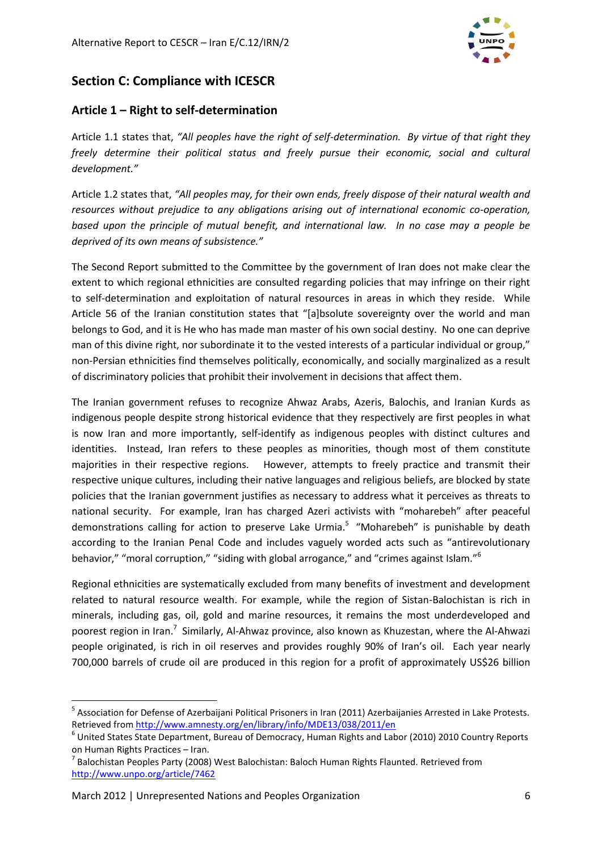

# **Section C: Compliance with ICESCR**

## **Article 1 – Right to self-determination**

Article 1.1 states that, *"All peoples have the right of self-determination. By virtue of that right they freely determine their political status and freely pursue their economic, social and cultural development."*

Article 1.2 states that, *"All peoples may, for their own ends, freely dispose of their natural wealth and resources without prejudice to any obligations arising out of international economic co-operation, based upon the principle of mutual benefit, and international law. In no case may a people be deprived of its own means of subsistence."*

The Second Report submitted to the Committee by the government of Iran does not make clear the extent to which regional ethnicities are consulted regarding policies that may infringe on their right to self-determination and exploitation of natural resources in areas in which they reside. While Article 56 of the Iranian constitution states that "[a]bsolute sovereignty over the world and man belongs to God, and it is He who has made man master of his own social destiny. No one can deprive man of this divine right, nor subordinate it to the vested interests of a particular individual or group," non-Persian ethnicities find themselves politically, economically, and socially marginalized as a result of discriminatory policies that prohibit their involvement in decisions that affect them.

The Iranian government refuses to recognize Ahwaz Arabs, Azeris, Balochis, and Iranian Kurds as indigenous people despite strong historical evidence that they respectively are first peoples in what is now Iran and more importantly, self-identify as indigenous peoples with distinct cultures and identities. Instead, Iran refers to these peoples as minorities, though most of them constitute majorities in their respective regions. However, attempts to freely practice and transmit their respective unique cultures, including their native languages and religious beliefs, are blocked by state policies that the Iranian government justifies as necessary to address what it perceives as threats to national security. For example, Iran has charged Azeri activists with "moharebeh" after peaceful demonstrations calling for action to preserve Lake Urmia.<sup>5</sup> "Moharebeh" is punishable by death according to the Iranian Penal Code and includes vaguely worded acts such as "antirevolutionary behavior," "moral corruption," "siding with global arrogance," and "crimes against Islam."<sup>6</sup>

Regional ethnicities are systematically excluded from many benefits of investment and development related to natural resource wealth. For example, while the region of Sistan-Balochistan is rich in minerals, including gas, oil, gold and marine resources, it remains the most underdeveloped and poorest region in Iran.<sup>7</sup> Similarly, Al-Ahwaz province, also known as Khuzestan, where the Al-Ahwazi people originated, is rich in oil reserves and provides roughly 90% of Iran's oil. Each year nearly 700,000 barrels of crude oil are produced in this region for a profit of approximately US\$26 billion

<sup>&</sup>lt;sup>5</sup> Association for Defense of Azerbaijani Political Prisoners in Iran (2011) Azerbaijanies Arrested in Lake Protests. Retrieved fro[m http://www.amnesty.org/en/library/info/MDE13/038/2011/en](http://www.amnesty.org/en/library/info/MDE13/038/2011/en)

<sup>6</sup> United States State Department, Bureau of Democracy, Human Rights and Labor (2010) 2010 Country Reports on Human Rights Practices – Iran.

 $^7$  Balochistan Peoples Party (2008) West Balochistan: Baloch Human Rights Flaunted. Retrieved from <http://www.unpo.org/article/7462>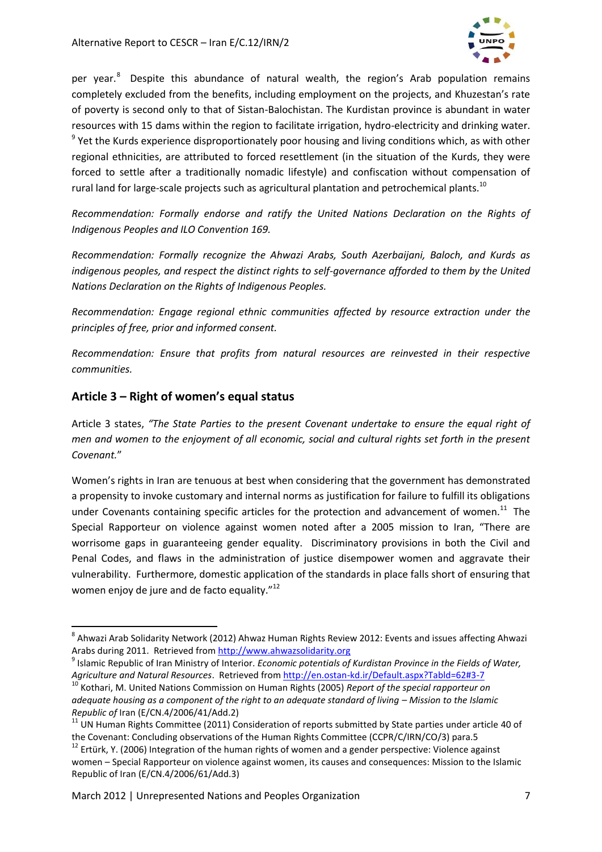

per year.<sup>8</sup> Despite this abundance of natural wealth, the region's Arab population remains completely excluded from the benefits, including employment on the projects, and Khuzestan's rate of poverty is second only to that of Sistan-Balochistan. The Kurdistan province is abundant in water resources with 15 dams within the region to facilitate irrigation, hydro-electricity and drinking water. <sup>9</sup> Yet the Kurds experience disproportionately poor housing and living conditions which, as with other regional ethnicities, are attributed to forced resettlement (in the situation of the Kurds, they were forced to settle after a traditionally nomadic lifestyle) and confiscation without compensation of rural land for large-scale projects such as agricultural plantation and petrochemical plants.<sup>10</sup>

*Recommendation: Formally endorse and ratify the United Nations Declaration on the Rights of Indigenous Peoples and ILO Convention 169.*

*Recommendation: Formally recognize the Ahwazi Arabs, South Azerbaijani, Baloch, and Kurds as indigenous peoples, and respect the distinct rights to self-governance afforded to them by the United Nations Declaration on the Rights of Indigenous Peoples.*

*Recommendation: Engage regional ethnic communities affected by resource extraction under the principles of free, prior and informed consent.*

*Recommendation: Ensure that profits from natural resources are reinvested in their respective communities.*

## **Article 3 – Right of women's equal status**

 $\overline{a}$ 

Article 3 states, *"The State Parties to the present Covenant undertake to ensure the equal right of men and women to the enjoyment of all economic, social and cultural rights set forth in the present Covenant.*"

Women's rights in Iran are tenuous at best when considering that the government has demonstrated a propensity to invoke customary and internal norms as justification for failure to fulfill its obligations under Covenants containing specific articles for the protection and advancement of women.<sup>11</sup> The Special Rapporteur on violence against women noted after a 2005 mission to Iran, "There are worrisome gaps in guaranteeing gender equality. Discriminatory provisions in both the Civil and Penal Codes, and flaws in the administration of justice disempower women and aggravate their vulnerability. Furthermore, domestic application of the standards in place falls short of ensuring that women enjoy de jure and de facto equality."<sup>12</sup>

<sup>&</sup>lt;sup>8</sup> Ahwazi Arab Solidarity Network (2012) Ahwaz Human Rights Review 2012: Events and issues affecting Ahwazi Arabs during 2011. Retrieved from [http://www.ahwazsolidarity.org](http://www.ahwazsolidarity.org/)

<sup>9</sup> Islamic Republic of Iran Ministry of Interior. *Economic potentials of Kurdistan Province in the Fields of Water, Agriculture and Natural Resources*. Retrieved from<http://en.ostan-kd.ir/Default.aspx?Tabld=62#3-7>

<sup>&</sup>lt;sup>10</sup> Kothari, M. United Nations Commission on Human Rights (2005) *Report of the special rapporteur on adequate housing as a component of the right to an adequate standard of living – Mission to the Islamic Republic of* Iran (E/CN.4/2006/41/Add.2)

 $11$  UN Human Rights Committee (2011) Consideration of reports submitted by State parties under article 40 of the Covenant: Concluding observations of the Human Rights Committee (CCPR/C/IRN/CO/3) para.5

 $12$  Ertürk, Y. (2006) Integration of the human rights of women and a gender perspective: Violence against women – Special Rapporteur on violence against women, its causes and consequences: Mission to the Islamic Republic of Iran (E/CN.4/2006/61/Add.3)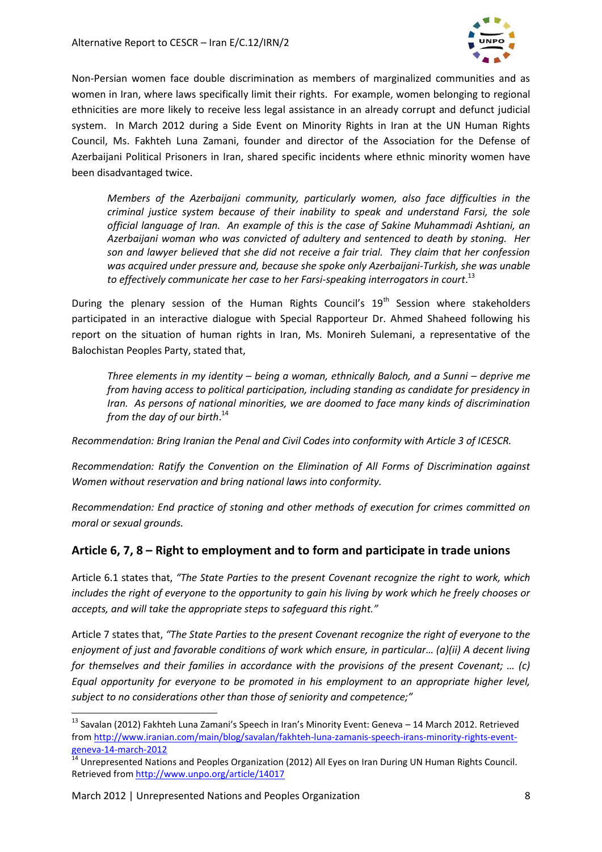

Non-Persian women face double discrimination as members of marginalized communities and as women in Iran, where laws specifically limit their rights. For example, women belonging to regional ethnicities are more likely to receive less legal assistance in an already corrupt and defunct judicial system. In March 2012 during a Side Event on Minority Rights in Iran at the UN Human Rights Council, Ms. Fakhteh Luna Zamani, founder and director of the Association for the Defense of Azerbaijani Political Prisoners in Iran, shared specific incidents where ethnic minority women have been disadvantaged twice.

*Members of the Azerbaijani community, particularly women, also face difficulties in the criminal justice system because of their inability to speak and understand Farsi, the sole official language of Iran. An example of this is the case of Sakine Muhammadi Ashtiani, an Azerbaijani woman who was convicted of adultery and sentenced to death by stoning. Her son and lawyer believed that she did not receive a fair trial. They claim that her confession was acquired under pressure and, because she spoke only Azerbaijani-Turkish, she was unable to effectively communicate her case to her Farsi-speaking interrogators in court*. 13

During the plenary session of the Human Rights Council's 19<sup>th</sup> Session where stakeholders participated in an interactive dialogue with Special Rapporteur Dr. Ahmed Shaheed following his report on the situation of human rights in Iran, Ms. Monireh Sulemani, a representative of the Balochistan Peoples Party, stated that,

*Three elements in my identity – being a woman, ethnically Baloch, and a Sunni – deprive me from having access to political participation, including standing as candidate for presidency in Iran. As persons of national minorities, we are doomed to face many kinds of discrimination from the day of our birth*. 14

*Recommendation: Bring Iranian the Penal and Civil Codes into conformity with Article 3 of ICESCR.*

*Recommendation: Ratify the Convention on the Elimination of All Forms of Discrimination against Women without reservation and bring national laws into conformity.*

*Recommendation: End practice of stoning and other methods of execution for crimes committed on moral or sexual grounds.*

# **Article 6, 7, 8 – Right to employment and to form and participate in trade unions**

Article 6.1 states that, *"The State Parties to the present Covenant recognize the right to work, which includes the right of everyone to the opportunity to gain his living by work which he freely chooses or accepts, and will take the appropriate steps to safeguard this right."*

Article 7 states that, *"The State Parties to the present Covenant recognize the right of everyone to the enjoyment of just and favorable conditions of work which ensure, in particular… (a)(ii) A decent living for themselves and their families in accordance with the provisions of the present Covenant; … (c) Equal opportunity for everyone to be promoted in his employment to an appropriate higher level, subject to no considerations other than those of seniority and competence;"*

<sup>&</sup>lt;sup>13</sup> Savalan (2012) Fakhteh Luna Zamani's Speech in Iran's Minority Event: Geneva – 14 March 2012. Retrieved from [http://www.iranian.com/main/blog/savalan/fakhteh-luna-zamanis-speech-irans-minority-rights-event](http://www.iranian.com/main/blog/savalan/fakhteh-luna-zamanis-speech-irans-minority-rights-event-geneva-14-march-2012)[geneva-14-march-2012](http://www.iranian.com/main/blog/savalan/fakhteh-luna-zamanis-speech-irans-minority-rights-event-geneva-14-march-2012)

 $^{14}$  Unrepresented Nations and Peoples Organization (2012) All Eyes on Iran During UN Human Rights Council. Retrieved fro[m http://www.unpo.org/article/14017](http://www.unpo.org/article/14017)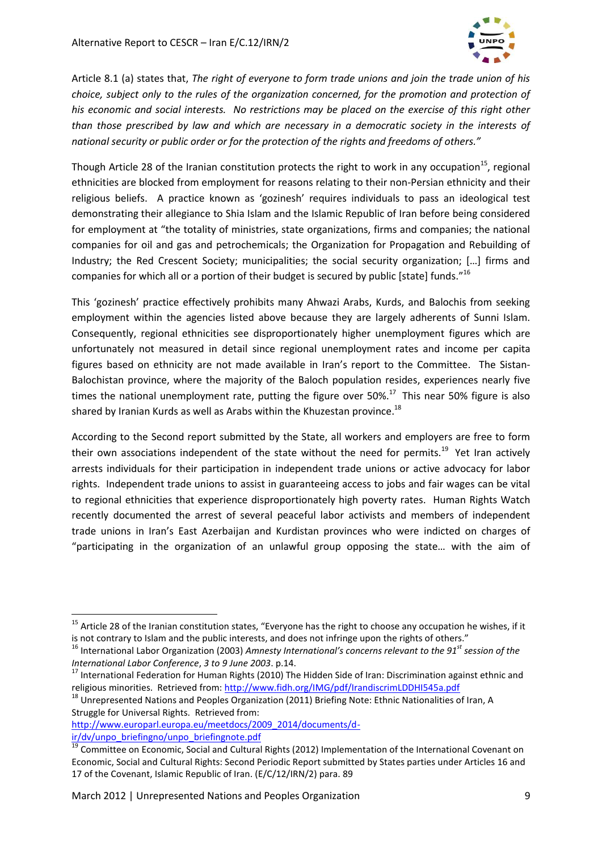

Article 8.1 (a) states that, *The right of everyone to form trade unions and join the trade union of his choice, subject only to the rules of the organization concerned, for the promotion and protection of his economic and social interests. No restrictions may be placed on the exercise of this right other than those prescribed by law and which are necessary in a democratic society in the interests of national security or public order or for the protection of the rights and freedoms of others."*

Though Article 28 of the Iranian constitution protects the right to work in any occupation<sup>15</sup>, regional ethnicities are blocked from employment for reasons relating to their non-Persian ethnicity and their religious beliefs. A practice known as 'gozinesh' requires individuals to pass an ideological test demonstrating their allegiance to Shia Islam and the Islamic Republic of Iran before being considered for employment at "the totality of ministries, state organizations, firms and companies; the national companies for oil and gas and petrochemicals; the Organization for Propagation and Rebuilding of Industry; the Red Crescent Society; municipalities; the social security organization; […] firms and companies for which all or a portion of their budget is secured by public [state] funds."<sup>16</sup>

This 'gozinesh' practice effectively prohibits many Ahwazi Arabs, Kurds, and Balochis from seeking employment within the agencies listed above because they are largely adherents of Sunni Islam. Consequently, regional ethnicities see disproportionately higher unemployment figures which are unfortunately not measured in detail since regional unemployment rates and income per capita figures based on ethnicity are not made available in Iran's report to the Committee. The Sistan-Balochistan province, where the majority of the Baloch population resides, experiences nearly five times the national unemployment rate, putting the figure over 50%.<sup>17</sup> This near 50% figure is also shared by Iranian Kurds as well as Arabs within the Khuzestan province. $^{18}$ 

According to the Second report submitted by the State, all workers and employers are free to form their own associations independent of the state without the need for permits.<sup>19</sup> Yet Iran actively arrests individuals for their participation in independent trade unions or active advocacy for labor rights. Independent trade unions to assist in guaranteeing access to jobs and fair wages can be vital to regional ethnicities that experience disproportionately high poverty rates. Human Rights Watch recently documented the arrest of several peaceful labor activists and members of independent trade unions in Iran's East Azerbaijan and Kurdistan provinces who were indicted on charges of "participating in the organization of an unlawful group opposing the state… with the aim of

 $15$  Article 28 of the Iranian constitution states, "Everyone has the right to choose any occupation he wishes, if it is not contrary to Islam and the public interests, and does not infringe upon the rights of others."

<sup>16</sup> International Labor Organization (2003) *Amnesty International's concerns relevant to the 91st session of the International Labor Conference*, *3 to 9 June 2003*. p.14.

<sup>&</sup>lt;sup>17</sup> International Federation for Human Rights (2010) The Hidden Side of Iran: Discrimination against ethnic and religious minorities. Retrieved from:<http://www.fidh.org/IMG/pdf/IrandiscrimLDDHI545a.pdf>

 $^{18}$  Unrepresented Nations and Peoples Organization (2011) Briefing Note: Ethnic Nationalities of Iran, A Struggle for Universal Rights. Retrieved from:

[http://www.europarl.europa.eu/meetdocs/2009\\_2014/documents/d](http://www.europarl.europa.eu/meetdocs/2009_2014/documents/d-ir/dv/unpo_briefingno/unpo_briefingnote.pdf)[ir/dv/unpo\\_briefingno/unpo\\_briefingnote.pdf](http://www.europarl.europa.eu/meetdocs/2009_2014/documents/d-ir/dv/unpo_briefingno/unpo_briefingnote.pdf)

<sup>&</sup>lt;sup>19</sup> Committee on Economic, Social and Cultural Rights (2012) Implementation of the International Covenant on Economic, Social and Cultural Rights: Second Periodic Report submitted by States parties under Articles 16 and 17 of the Covenant, Islamic Republic of Iran. (E/C/12/IRN/2) para. 89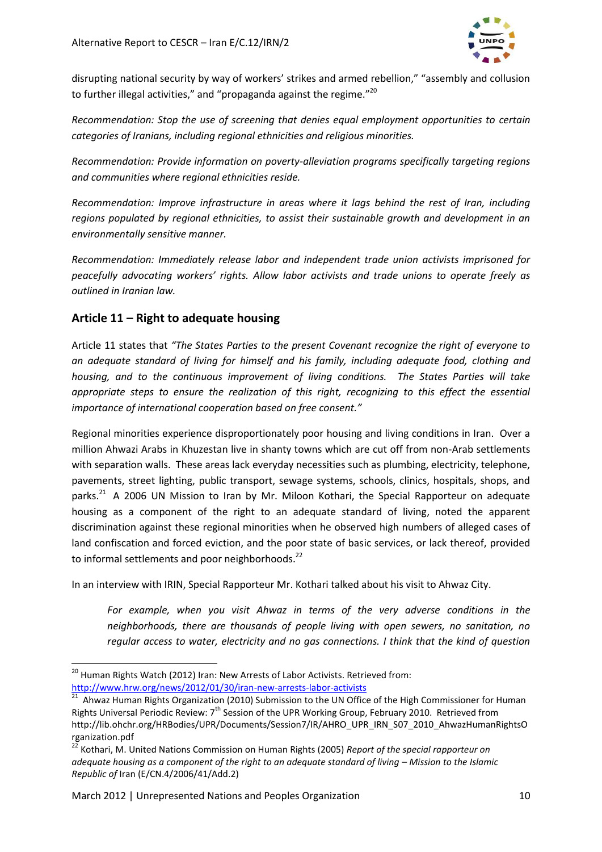

disrupting national security by way of workers' strikes and armed rebellion," "assembly and collusion to further illegal activities," and "propaganda against the regime."<sup>20</sup>

*Recommendation: Stop the use of screening that denies equal employment opportunities to certain categories of Iranians, including regional ethnicities and religious minorities.*

*Recommendation: Provide information on poverty-alleviation programs specifically targeting regions and communities where regional ethnicities reside.*

*Recommendation: Improve infrastructure in areas where it lags behind the rest of Iran, including regions populated by regional ethnicities, to assist their sustainable growth and development in an environmentally sensitive manner.*

*Recommendation: Immediately release labor and independent trade union activists imprisoned for peacefully advocating workers' rights. Allow labor activists and trade unions to operate freely as outlined in Iranian law.* 

# **Article 11 – Right to adequate housing**

Article 11 states that *"The States Parties to the present Covenant recognize the right of everyone to an adequate standard of living for himself and his family, including adequate food, clothing and housing, and to the continuous improvement of living conditions. The States Parties will take appropriate steps to ensure the realization of this right, recognizing to this effect the essential importance of international cooperation based on free consent."*

Regional minorities experience disproportionately poor housing and living conditions in Iran. Over a million Ahwazi Arabs in Khuzestan live in shanty towns which are cut off from non-Arab settlements with separation walls. These areas lack everyday necessities such as plumbing, electricity, telephone, pavements, street lighting, public transport, sewage systems, schools, clinics, hospitals, shops, and parks.<sup>21</sup> A 2006 UN Mission to Iran by Mr. Miloon Kothari, the Special Rapporteur on adequate housing as a component of the right to an adequate standard of living, noted the apparent discrimination against these regional minorities when he observed high numbers of alleged cases of land confiscation and forced eviction, and the poor state of basic services, or lack thereof, provided to informal settlements and poor neighborhoods.<sup>22</sup>

In an interview with IRIN, Special Rapporteur Mr. Kothari talked about his visit to Ahwaz City.

*For example, when you visit Ahwaz in terms of the very adverse conditions in the neighborhoods, there are thousands of people living with open sewers, no sanitation, no regular access to water, electricity and no gas connections. I think that the kind of question* 

 $^{20}$  Human Rights Watch (2012) Iran: New Arrests of Labor Activists. Retrieved from:

<http://www.hrw.org/news/2012/01/30/iran-new-arrests-labor-activists><br><sup>21</sup> Ahwaz Human Rights Organization (2010) Submission to the UN Office of the High Commissioner for Human Rights Universal Periodic Review: 7<sup>th</sup> Session of the UPR Working Group, February 2010. Retrieved from http://lib.ohchr.org/HRBodies/UPR/Documents/Session7/IR/AHRO\_UPR\_IRN\_S07\_2010\_AhwazHumanRightsO rganization.pdf

<sup>22</sup> Kothari, M. United Nations Commission on Human Rights (2005) *Report of the special rapporteur on adequate housing as a component of the right to an adequate standard of living - Mission to the Islamic Republic of* Iran (E/CN.4/2006/41/Add.2)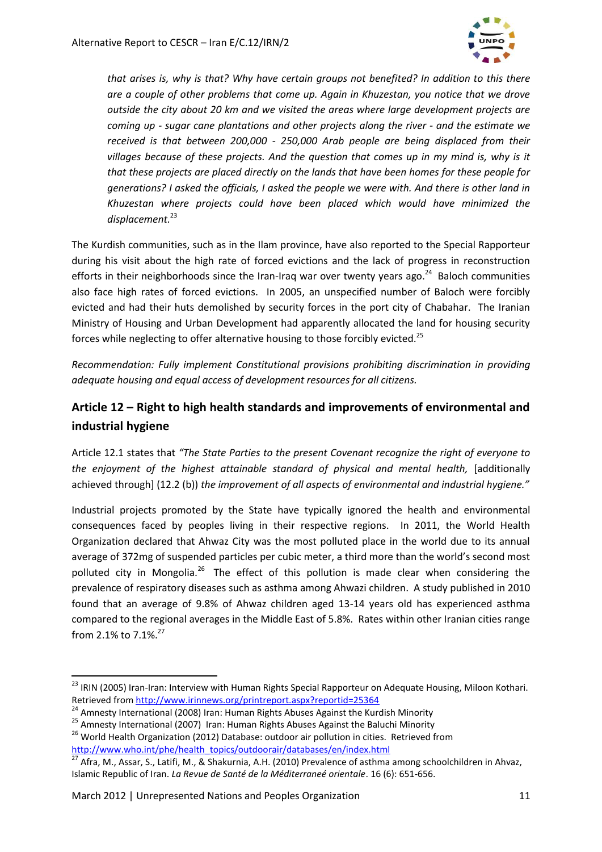

*that arises is, why is that? Why have certain groups not benefited? In addition to this there are a couple of other problems that come up. Again in Khuzestan, you notice that we drove outside the city about 20 km and we visited the areas where large development projects are coming up - sugar cane plantations and other projects along the river - and the estimate we received is that between 200,000 - 250,000 Arab people are being displaced from their villages because of these projects. And the question that comes up in my mind is, why is it that these projects are placed directly on the lands that have been homes for these people for generations? I asked the officials, I asked the people we were with. And there is other land in Khuzestan where projects could have been placed which would have minimized the displacement.*<sup>23</sup>

The Kurdish communities, such as in the Ilam province, have also reported to the Special Rapporteur during his visit about the high rate of forced evictions and the lack of progress in reconstruction efforts in their neighborhoods since the Iran-Iraq war over twenty years ago. $^{24}$  Baloch communities also face high rates of forced evictions. In 2005, an unspecified number of Baloch were forcibly evicted and had their huts demolished by security forces in the port city of Chabahar. The Iranian Ministry of Housing and Urban Development had apparently allocated the land for housing security forces while neglecting to offer alternative housing to those forcibly evicted.<sup>25</sup>

*Recommendation: Fully implement Constitutional provisions prohibiting discrimination in providing adequate housing and equal access of development resources for all citizens.*

# **Article 12 – Right to high health standards and improvements of environmental and industrial hygiene**

Article 12.1 states that *"The State Parties to the present Covenant recognize the right of everyone to the enjoyment of the highest attainable standard of physical and mental health,* [additionally achieved through] (12.2 (b)) *the improvement of all aspects of environmental and industrial hygiene."*

Industrial projects promoted by the State have typically ignored the health and environmental consequences faced by peoples living in their respective regions. In 2011, the World Health Organization declared that Ahwaz City was the most polluted place in the world due to its annual average of 372mg of suspended particles per cubic meter, a third more than the world's second most polluted city in Mongolia.<sup>26</sup> The effect of this pollution is made clear when considering the prevalence of respiratory diseases such as asthma among Ahwazi children. A study published in 2010 found that an average of 9.8% of Ahwaz children aged 13-14 years old has experienced asthma compared to the regional averages in the Middle East of 5.8%. Rates within other Iranian cities range from 2.1% to 7.1%.<sup>27</sup>

<sup>&</sup>lt;sup>23</sup> IRIN (2005) Iran-Iran: Interview with Human Rights Special Rapporteur on Adequate Housing, Miloon Kothari. Retrieved fro[m http://www.irinnews.org/printreport.aspx?reportid=25364](http://www.irinnews.org/printreport.aspx?reportid=25364)

<sup>&</sup>lt;sup>24</sup> Amnesty International (2008) Iran: Human Rights Abuses Against the Kurdish Minority

<sup>&</sup>lt;sup>25</sup> Amnesty International (2007) Iran: Human Rights Abuses Against the Baluchi Minority

<sup>&</sup>lt;sup>26</sup> World Health Organization (2012) Database: outdoor air pollution in cities. Retrieved from [http://www.who.int/phe/health\\_topics/outdoorair/databases/en/index.html](http://www.who.int/phe/health_topics/outdoorair/databases/en/index.html)

 $^{27}$  Afra, M., Assar, S., Latifi, M., & Shakurnia, A.H. (2010) Prevalence of asthma among schoolchildren in Ahvaz, Islamic Republic of Iran. *La Revue de Santé de la Méditerraneé orientale*. 16 (6): 651-656.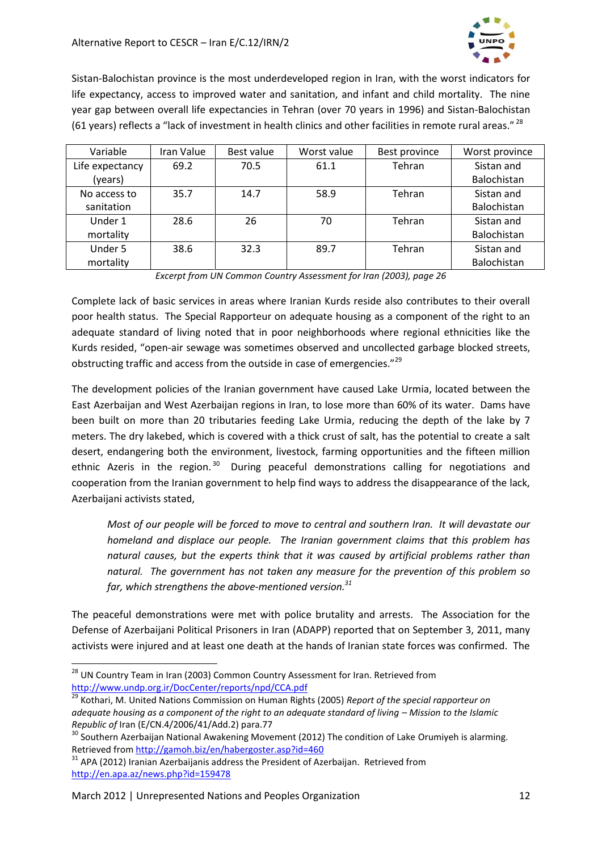

Sistan-Balochistan province is the most underdeveloped region in Iran, with the worst indicators for life expectancy, access to improved water and sanitation, and infant and child mortality. The nine year gap between overall life expectancies in Tehran (over 70 years in 1996) and Sistan-Balochistan (61 years) reflects a "lack of investment in health clinics and other facilities in remote rural areas." <sup>28</sup>

| Variable        | Iran Value | Best value | Worst value | Best province | Worst province |
|-----------------|------------|------------|-------------|---------------|----------------|
| Life expectancy | 69.2       | 70.5       | 61.1        | Tehran        | Sistan and     |
| (years)         |            |            |             |               | Balochistan    |
| No access to    | 35.7       | 14.7       | 58.9        | Tehran        | Sistan and     |
| sanitation      |            |            |             |               | Balochistan    |
| Under 1         | 28.6       | 26         | 70          | Tehran        | Sistan and     |
| mortality       |            |            |             |               | Balochistan    |
| Under 5         | 38.6       | 32.3       | 89.7        | Tehran        | Sistan and     |
| mortality       |            |            |             |               | Balochistan    |

*Excerpt from UN Common Country Assessment for Iran (2003), page 26*

Complete lack of basic services in areas where Iranian Kurds reside also contributes to their overall poor health status. The Special Rapporteur on adequate housing as a component of the right to an adequate standard of living noted that in poor neighborhoods where regional ethnicities like the Kurds resided, "open-air sewage was sometimes observed and uncollected garbage blocked streets, obstructing traffic and access from the outside in case of emergencies."<sup>29</sup>

The development policies of the Iranian government have caused Lake Urmia, located between the East Azerbaijan and West Azerbaijan regions in Iran, to lose more than 60% of its water. Dams have been built on more than 20 tributaries feeding Lake Urmia, reducing the depth of the lake by 7 meters. The dry lakebed, which is covered with a thick crust of salt, has the potential to create a salt desert, endangering both the environment, livestock, farming opportunities and the fifteen million ethnic Azeris in the region.<sup>30</sup> During peaceful demonstrations calling for negotiations and cooperation from the Iranian government to help find ways to address the disappearance of the lack, Azerbaijani activists stated,

*Most of our people will be forced to move to central and southern Iran. It will devastate our homeland and displace our people. The Iranian government claims that this problem has natural causes, but the experts think that it was caused by artificial problems rather than natural. The government has not taken any measure for the prevention of this problem so far, which strengthens the above-mentioned version.<sup>31</sup>*

The peaceful demonstrations were met with police brutality and arrests. The Association for the Defense of Azerbaijani Political Prisoners in Iran (ADAPP) reported that on September 3, 2011, many activists were injured and at least one death at the hands of Iranian state forces was confirmed. The

<sup>&</sup>lt;sup>28</sup> UN Country Team in Iran (2003) Common Country Assessment for Iran. Retrieved from <http://www.undp.org.ir/DocCenter/reports/npd/CCA.pdf>

<sup>29</sup> Kothari, M. United Nations Commission on Human Rights (2005) *Report of the special rapporteur on adequate housing as a component of the right to an adequate standard of living - Mission to the Islamic Republic of* Iran (E/CN.4/2006/41/Add.2) para.77

 $30$  Southern Azerbaijan National Awakening Movement (2012) The condition of Lake Orumiyeh is alarming. Retrieved fro[m http://gamoh.biz/en/habergoster.asp?id=460](http://gamoh.biz/en/habergoster.asp?id=460)

<sup>&</sup>lt;sup>31</sup> APA (2012) Iranian Azerbaijanis address the President of Azerbaijan. Retrieved from <http://en.apa.az/news.php?id=159478>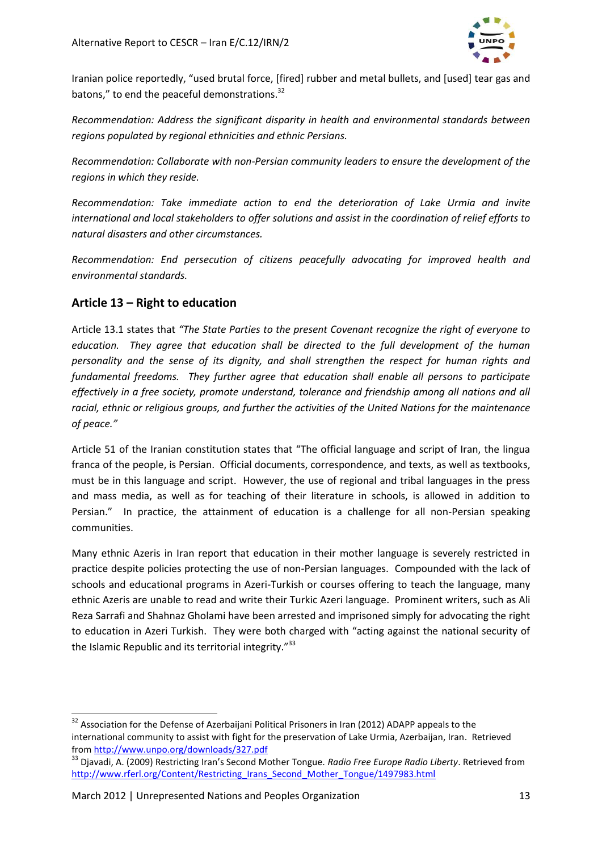

Iranian police reportedly, "used brutal force, [fired] rubber and metal bullets, and [used] tear gas and batons," to end the peaceful demonstrations.<sup>32</sup>

*Recommendation: Address the significant disparity in health and environmental standards between regions populated by regional ethnicities and ethnic Persians.*

*Recommendation: Collaborate with non-Persian community leaders to ensure the development of the regions in which they reside.*

*Recommendation: Take immediate action to end the deterioration of Lake Urmia and invite international and local stakeholders to offer solutions and assist in the coordination of relief efforts to natural disasters and other circumstances.*

*Recommendation: End persecution of citizens peacefully advocating for improved health and environmental standards.*

## **Article 13 – Right to education**

Article 13.1 states that *"The State Parties to the present Covenant recognize the right of everyone to education. They agree that education shall be directed to the full development of the human personality and the sense of its dignity, and shall strengthen the respect for human rights and fundamental freedoms. They further agree that education shall enable all persons to participate effectively in a free society, promote understand, tolerance and friendship among all nations and all racial, ethnic or religious groups, and further the activities of the United Nations for the maintenance of peace."*

Article 51 of the Iranian constitution states that "The official language and script of Iran, the lingua franca of the people, is Persian. Official documents, correspondence, and texts, as well as textbooks, must be in this language and script. However, the use of regional and tribal languages in the press and mass media, as well as for teaching of their literature in schools, is allowed in addition to Persian." In practice, the attainment of education is a challenge for all non-Persian speaking communities.

Many ethnic Azeris in Iran report that education in their mother language is severely restricted in practice despite policies protecting the use of non-Persian languages. Compounded with the lack of schools and educational programs in Azeri-Turkish or courses offering to teach the language, many ethnic Azeris are unable to read and write their Turkic Azeri language. Prominent writers, such as Ali Reza Sarrafi and Shahnaz Gholami have been arrested and imprisoned simply for advocating the right to education in Azeri Turkish. They were both charged with "acting against the national security of the Islamic Republic and its territorial integrity."<sup>33</sup>

 $\overline{a}$ <sup>32</sup> Association for the Defense of Azerbaijani Political Prisoners in Iran (2012) ADAPP appeals to the international community to assist with fight for the preservation of Lake Urmia, Azerbaijan, Iran. Retrieved from<http://www.unpo.org/downloads/327.pdf>

<sup>33</sup> Djavadi, A. (2009) Restricting Iran's Second Mother Tongue. *Radio Free Europe Radio Liberty*. Retrieved from [http://www.rferl.org/Content/Restricting\\_Irans\\_Second\\_Mother\\_Tongue/1497983.html](http://www.rferl.org/Content/Restricting_Irans_Second_Mother_Tongue/1497983.html)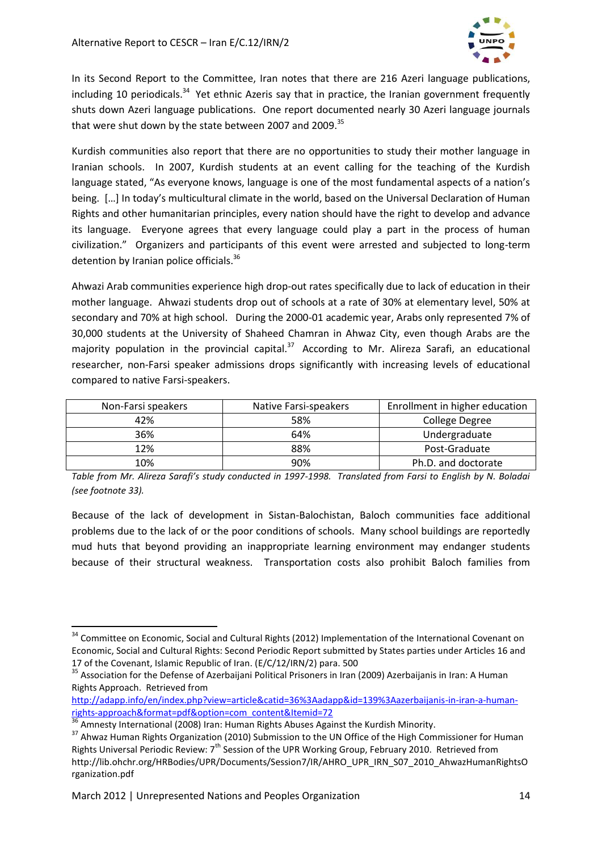

In its Second Report to the Committee, Iran notes that there are 216 Azeri language publications, including 10 periodicals.<sup>34</sup> Yet ethnic Azeris say that in practice, the Iranian government frequently shuts down Azeri language publications. One report documented nearly 30 Azeri language journals that were shut down by the state between 2007 and 2009.<sup>35</sup>

Kurdish communities also report that there are no opportunities to study their mother language in Iranian schools. In 2007, Kurdish students at an event calling for the teaching of the Kurdish language stated, "As everyone knows, language is one of the most fundamental aspects of a nation's being. […] In today's multicultural climate in the world, based on the Universal Declaration of Human Rights and other humanitarian principles, every nation should have the right to develop and advance its language. Everyone agrees that every language could play a part in the process of human civilization." Organizers and participants of this event were arrested and subjected to long-term detention by Iranian police officials.<sup>36</sup>

Ahwazi Arab communities experience high drop-out rates specifically due to lack of education in their mother language. Ahwazi students drop out of schools at a rate of 30% at elementary level, 50% at secondary and 70% at high school. During the 2000-01 academic year, Arabs only represented 7% of 30,000 students at the University of Shaheed Chamran in Ahwaz City, even though Arabs are the majority population in the provincial capital.<sup>37</sup> According to Mr. Alireza Sarafi, an educational researcher, non-Farsi speaker admissions drops significantly with increasing levels of educational compared to native Farsi-speakers.

| Non-Farsi speakers | Native Farsi-speakers | Enrollment in higher education |
|--------------------|-----------------------|--------------------------------|
| 42%                | 58%                   | College Degree                 |
| 36%                | 64%                   | Undergraduate                  |
| 12%                | 88%                   | Post-Graduate                  |
| 10%                | 90%                   | Ph.D. and doctorate            |

*Table from Mr. Alireza Sarafi's study conducted in 1997-1998. Translated from Farsi to English by N. Boladai (see footnote 33).*

Because of the lack of development in Sistan-Balochistan, Baloch communities face additional problems due to the lack of or the poor conditions of schools. Many school buildings are reportedly mud huts that beyond providing an inappropriate learning environment may endanger students because of their structural weakness. Transportation costs also prohibit Baloch families from

<sup>&</sup>lt;sup>34</sup> Committee on Economic, Social and Cultural Rights (2012) Implementation of the International Covenant on Economic, Social and Cultural Rights: Second Periodic Report submitted by States parties under Articles 16 and 17 of the Covenant, Islamic Republic of Iran. (E/C/12/IRN/2) para. 500

<sup>&</sup>lt;sup>35</sup> Association for the Defense of Azerbaijani Political Prisoners in Iran (2009) Azerbaijanis in Iran: A Human Rights Approach. Retrieved from

[http://adapp.info/en/index.php?view=article&catid=36%3Aadapp&id=139%3Aazerbaijanis-in-iran-a-human](http://adapp.info/en/index.php?view=article&catid=36%3Aadapp&id=139%3Aazerbaijanis-in-iran-a-human-rights-approach&format=pdf&option=com_content&Itemid=72)[rights-approach&format=pdf&option=com\\_content&Itemid=72](http://adapp.info/en/index.php?view=article&catid=36%3Aadapp&id=139%3Aazerbaijanis-in-iran-a-human-rights-approach&format=pdf&option=com_content&Itemid=72)

Amnesty International (2008) Iran: Human Rights Abuses Against the Kurdish Minority.

<sup>37</sup> Ahwaz Human Rights Organization (2010) Submission to the UN Office of the High Commissioner for Human Rights Universal Periodic Review: 7th Session of the UPR Working Group, February 2010. Retrieved from http://lib.ohchr.org/HRBodies/UPR/Documents/Session7/IR/AHRO\_UPR\_IRN\_S07\_2010\_AhwazHumanRightsO rganization.pdf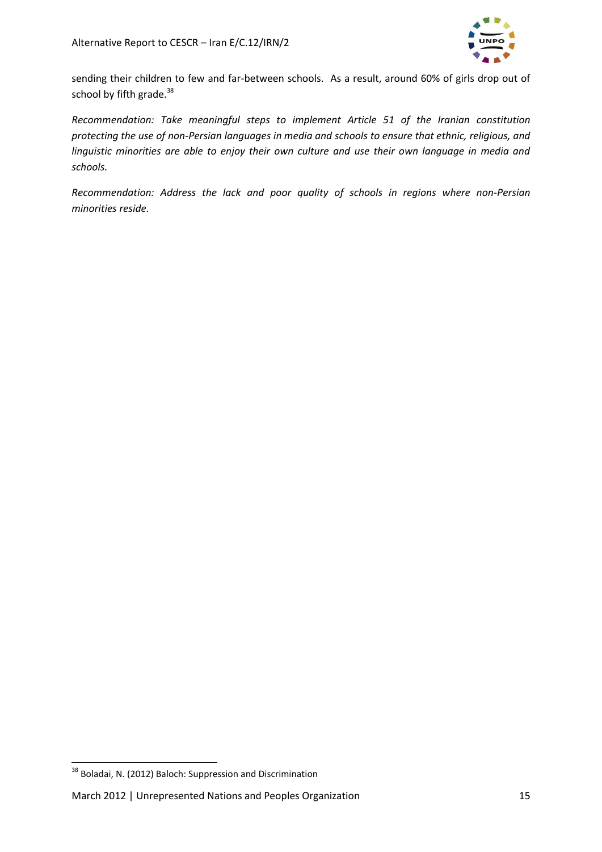

sending their children to few and far-between schools. As a result, around 60% of girls drop out of school by fifth grade.<sup>38</sup>

*Recommendation: Take meaningful steps to implement Article 51 of the Iranian constitution protecting the use of non-Persian languages in media and schools to ensure that ethnic, religious, and linguistic minorities are able to enjoy their own culture and use their own language in media and schools.*

*Recommendation: Address the lack and poor quality of schools in regions where non-Persian minorities reside.*

<sup>&</sup>lt;sup>38</sup> Boladai, N. (2012) Baloch: Suppression and Discrimination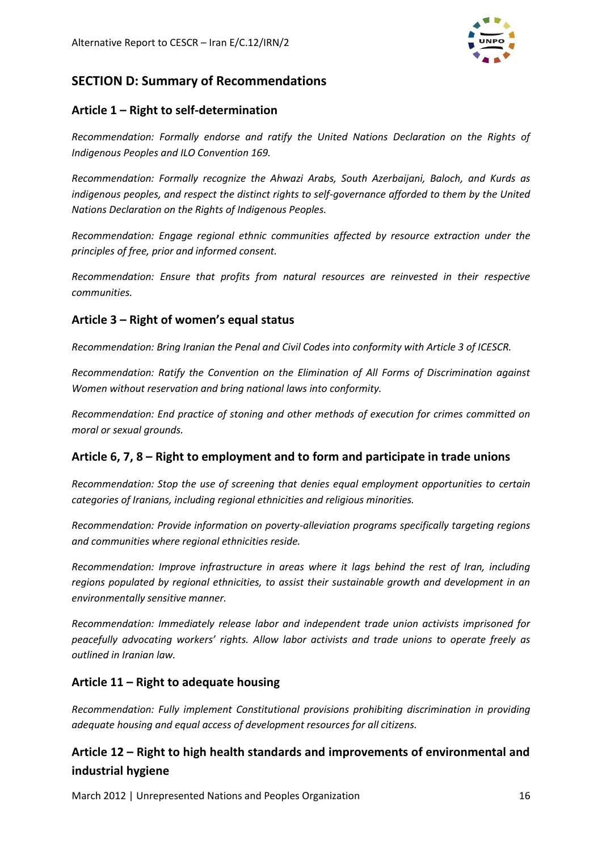

# **SECTION D: Summary of Recommendations**

## **Article 1 – Right to self-determination**

*Recommendation: Formally endorse and ratify the United Nations Declaration on the Rights of Indigenous Peoples and ILO Convention 169.*

*Recommendation: Formally recognize the Ahwazi Arabs, South Azerbaijani, Baloch, and Kurds as indigenous peoples, and respect the distinct rights to self-governance afforded to them by the United Nations Declaration on the Rights of Indigenous Peoples.*

*Recommendation: Engage regional ethnic communities affected by resource extraction under the principles of free, prior and informed consent.*

*Recommendation: Ensure that profits from natural resources are reinvested in their respective communities.*

## **Article 3 – Right of women's equal status**

*Recommendation: Bring Iranian the Penal and Civil Codes into conformity with Article 3 of ICESCR.*

*Recommendation: Ratify the Convention on the Elimination of All Forms of Discrimination against Women without reservation and bring national laws into conformity.*

*Recommendation: End practice of stoning and other methods of execution for crimes committed on moral or sexual grounds.*

# **Article 6, 7, 8 – Right to employment and to form and participate in trade unions**

*Recommendation: Stop the use of screening that denies equal employment opportunities to certain categories of Iranians, including regional ethnicities and religious minorities.*

*Recommendation: Provide information on poverty-alleviation programs specifically targeting regions and communities where regional ethnicities reside.*

*Recommendation: Improve infrastructure in areas where it lags behind the rest of Iran, including regions populated by regional ethnicities, to assist their sustainable growth and development in an environmentally sensitive manner.*

*Recommendation: Immediately release labor and independent trade union activists imprisoned for peacefully advocating workers' rights. Allow labor activists and trade unions to operate freely as outlined in Iranian law.* 

## **Article 11 – Right to adequate housing**

*Recommendation: Fully implement Constitutional provisions prohibiting discrimination in providing adequate housing and equal access of development resources for all citizens.*

# **Article 12 – Right to high health standards and improvements of environmental and industrial hygiene**

March 2012 | Unrepresented Nations and Peoples Organization 16